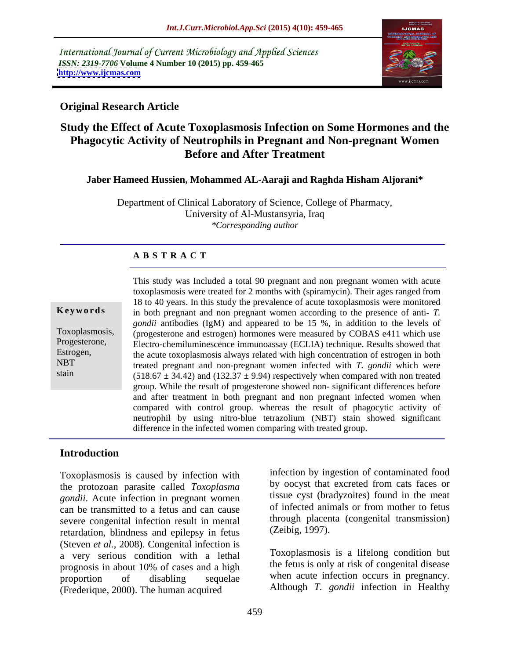International Journal of Current Microbiology and Applied Sciences *ISSN: 2319-7706* **Volume 4 Number 10 (2015) pp. 459-465 <http://www.ijcmas.com>**



### **Original Research Article**

# **Study the Effect of Acute Toxoplasmosis Infection on Some Hormones and the Phagocytic Activity of Neutrophils in Pregnant and Non-pregnant Women Before and After Treatment**

#### **Jaber Hameed Hussien, Mohammed AL-Aaraji and Raghda Hisham Aljorani\***

Department of Clinical Laboratory of Science, College of Pharmacy, University of Al-Mustansyria, Iraq *\*Corresponding author*

### **A B S T R A C T**

stain

This study was Included a total 90 pregnant and non pregnant women with acute toxoplasmosis were treated for 2 months with (spiramycin). Their ages ranged from 18 to 40 years. In this study the prevalence of acute toxoplasmosis were monitored **Keywords** in both pregnant and non pregnant women according to the presence of anti- *T*. *gondii* antibodies (IgM) and appeared to be 15 %, in addition to the levels of (progesterone and estrogen) hormones were measured by COBAS e411 which use Toxoplasmosis, Progesterone, Electro-chemiluminescence immunoassay (ECLIA) technique. Results showed that Estrogen, the acute toxoplasmosis always related with high concentration of estrogen in both treated pregnant and non-pregnant women infected with *T. gondii* which were NBT  $(518.67 \pm 34.42)$  and  $(132.37 \pm 9.94)$  respectively when compared with non treated group. While the result of progesterone showed non- significant differences before and after treatment in both pregnant and non pregnant infected women when compared with control group. whereas the result of phagocytic activity of neutrophil by using nitro-blue tetrazolium (NBT) stain showed significant difference in the infected women comparing with treated group.

### **Introduction**

Toxoplasmosis is caused by infection with the protozoan parasite called *Toxoplasma gondii*. Acute infection in pregnant women can be transmitted to a fetus and can cause severe congenital infection result in mental retardation, blindness and epilepsy in fetus (Steven *et al.,* 2008). Congenital infection is a very serious condition with a lethal prognosis in about 10% of cases and a high proportion of disabling sequelae when acute infection occurs in pregnancy. (Frederique, 2000). The human acquired

infection by ingestion of contaminated food by oocyst that excreted from cats faces or tissue cyst (bradyzoites) found in the meat of infected animals or from mother to fetus through placenta (congenital transmission) (Zeibig, 1997).

Toxoplasmosis is a lifelong condition but the fetus is only at risk of congenital disease Although *T. gondii* infection in Healthy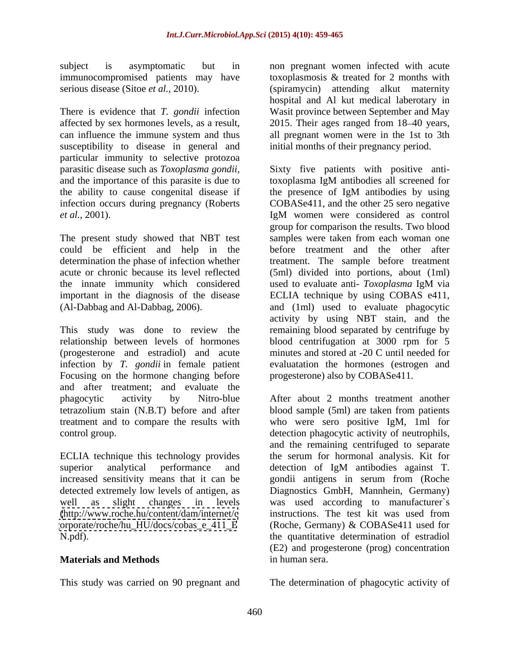subject is asymptomatic but in non pregnant women infected with acute immunocompromised patients may have

There is evidence that *T. gondii* infection affected by sex hormones levels, as a result, 2015. Their ages ranged from 18–40 years, can influence the immune system and thus all pregnant women were in the 1st to 3th susceptibility to disease in general and particular immunity to selective protozoa and the importance of this parasite is due to toxoplasma IgM antibodies all screened for *et al.*, 2001). IgM women were considered as control

could be efficient and help in the the innate immunity which considered used to evaluate anti- Toxoplasma IgM via

This study was done to review the remaining blood separated by centrifuge by relationship between levels of hormones blood centrifugation at 3000 rpm for 5 (progesterone and estradiol) and acute infection by *T. gondii* in female patient Focusing on the hormone changing before and after treatment; and evaluate the phagocytic activity by Nitro-blue After about 2 months treatment another tetrazolium stain (N.B.T) before and after blood sample (5ml) are taken from patients treatment and to compare the results with who were sero positive IgM, 1ml for

ECLIA technique this technology provides superior analytical performance and detection of IgM antibodies against T. [\(http://www.roche.hu/content/dam/internet/c](http://www.roche.hu/content/dam/internet/c)

### **Materials and Methods** in human sera.

This study was carried on 90 pregnant and The determination of phagocytic activity of

serious disease (Sitoe *et al.,* 2010). (spiramycin) attending alkut maternity toxoplasmosis & treated for 2 months with hospital and Al kut medical laberotary in Wasit province between September and May initial months of their pregnancy period.

parasitic disease such as *Toxoplasma gondii*, Sixty five patients with positive antithe ability to cause congenital disease if the presence of IgM antibodies by using infection occurs during pregnancy (Roberts COBASe411, and the other 25 sero negative The present study showed that NBT test samples were taken from each woman one determination the phase of infection whether treatment. The sample before treatment acute or chronic because its level reflected (5ml) divided into portions, about (1ml) important in the diagnosis of the disease ECLIA technique by using COBAS e411, (Al-Dabbag and Al-Dabbag, 2006). and (1ml) used to evaluate phagocytic toxoplasma IgM antibodies all screened for IgM women were considered as control group for comparison the results. Two blood before treatment and the other after used to evaluate anti- *Toxoplasma* IgM via activity by using NBT stain, and the minutes and stored at -20 C until needed for evaluatation the hormones (estrogen and progesterone) also by COBASe411.

control group. detection phagocytic activity of neutrophils, increased sensitivity means that it can be gondii antigens in serum from (Roche detected extremely low levels of antigen, as Diagnostics GmbH, Mannhein, Germany) well as slight changes in levels was used according to manufacturer`s [orporate/roche/hu\\_HU/docs/cobas\\_e\\_411\\_E](orporate/roche/hu_HU/docs/cobas_e_411_E) (Roche, Germany) & COBASe411 used for N.pdf). the quantitative determination of estradiol and the remaining centrifuged to separate the serum for hormonal analysis. Kit for detection of IgM antibodies against T. instructions. The test kit was used from (E2) and progesterone (prog) concentration in human sera.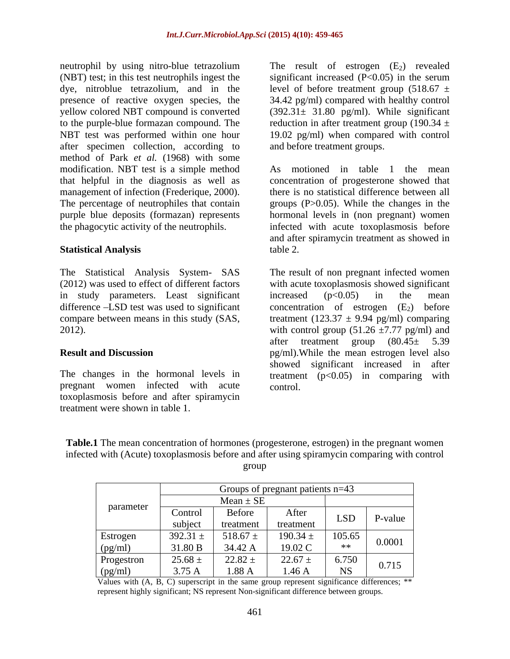neutrophil by using nitro-blue tetrazolium The result of estrogen (E<sub>2</sub>) revealed (NBT) test; in this test neutrophils ingest the significant increased  $(P<0.05)$  in the serum dye, nitroblue tetrazolium, and in the level of before treatment group  $(518.67 \pm$ presence of reactive oxygen species, the 34.42 pg/ml) compared with healthy control yellow colored NBT compound is converted (392.31± 31.80 pg/ml). While significant to the purple-blue formazan compound. The  $\qquad$  reduction in after treatment group (190.34  $\pm$ NBT test was performed within one hour 19.02 pg/ml) when compared with control after specimen collection, according to method of Park *et al.* (1968) with some modification. NBT test is a simple method As motioned in table 1 the mean that helpful in the diagnosis as well as concentration of progesterone showed that management of infection (Frederique, 2000). The percentage of neutrophiles that contain groups (P>0.05). While the changes in the purple blue deposits (formazan) represents hormonal levels in (non pregnant) women the phagocytic activity of the neutrophils. infected with acute toxoplasmosis before neurophil by using nitro-blue terrazolium in the result of estrogen (E2) revealed propagation in the result of estrogen (E2) revealed propagation, and in the level of elore treatment group (51867 ± presence of reactive or

The Statistical Analysis System- SAS in study parameters. Least significant increased (p<0.05) in the mean difference  $-LSD$  test was used to significant concentration of estrogen  $(E_2)$  before

The changes in the hormonal levels in pregnant women infected with acute toxoplasmosis before and after spiramycin

and before treatment groups.

**Statistical Analysis** there is no statistical difference between all and after spiramycin treatment as showed in table 2.

(2012) was used to effect of different factors with acute toxoplasmosis showed significant compare between means in this study (SAS, treatment  $(123.37 \pm 9.94 \text{ pg/ml})$  comparing 2012). with control group  $(51.26 \pm 7.77 \text{ pg/ml})$  and **Result and Discussion** pg/ml).While the mean estrogen level also The result of non pregnant infected women increased  $(p<0.05)$  in the mean concentration of estrogen  $(E_2)$ after treatment group  $(80.45 \pm 5.39)$ showed significant increased in after treatment  $(p<0.05)$  in comparing with control.

**Table.1** The mean concentration of hormones (progesterone, estrogen) in the pregnant women infected with (Acute) toxoplasmosis before and after using spiramycin comparing with control group and the set of the set of the set of the set of the set of the set of the set of the set of the set of the set of the set of the set of the set of the set of the set of the set of the set of the set of the set of the

|                | Groups of pregnant patients $n=43$ |               |              |            |         |
|----------------|------------------------------------|---------------|--------------|------------|---------|
| parameter      | $Mean \pm SE$                      |               |              |            |         |
|                | Control                            | <b>Before</b> | After        | <b>LSD</b> |         |
|                | subject                            | treatment     | treatment    |            | P-value |
| Estrogen       | $392.31 \pm$                       | 518.67 $\pm$  | $190.34 \pm$ | 105.65     | 0.0001  |
| <u>(pg/ml)</u> | 31.80 B                            | 4.42          | 19.02 C      | **         |         |
| Progestron     | $25.68 \pm$                        | $22.82 \pm$   | $22.67 \pm$  | 6.750      |         |
| (pg/ml)        | 3.75 A                             | $1.88 \; .$   | 1.46A        | <b>NS</b>  | 0.715   |

Values with (A, B, C) superscript in the same group represent significance differences; \*\* represent highly significant; NS represent Non-significant difference between groups.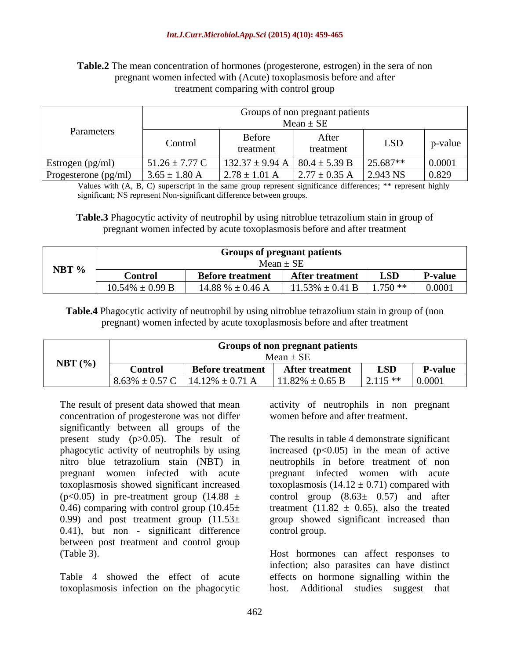#### **Table.2** The mean concentration of hormones (progesterone, estrogen) in the sera of non pregnant women infected with (Acute) toxoplasmosis before and after treatment comparing with control group

|                        | Groups of non pregnant patients<br>$Mean \pm SE$ |                                            |                                    |            |                 |  |
|------------------------|--------------------------------------------------|--------------------------------------------|------------------------------------|------------|-----------------|--|
| Parameters             | Control                                          | Before<br>treatment                        | Aftei<br>treatment                 | <b>LSD</b> | p-value         |  |
| Estrogen (pg/ml)       | $51.26 \pm 7.77$ C                               | 132.37 ± 9.94 A   80.4 ± 5.39 B   25.687** |                                    |            | 0.0001          |  |
| Progesterone $(pg/ml)$ | $3.65 \pm 1.80$ A                                | $2.78 \pm 1.01$ A                          | $2.77 \pm 0.35 \text{ A}$ 2.943 NS |            | $ 0.829\rangle$ |  |

Values with (A, B, C) superscript in the same group represent significance differences; \*\* represent highly significant; NS represent Non-significant difference between groups.

**Table.3** Phagocytic activity of neutrophil by using nitroblue tetrazolium stain in group of pregnant women infected by acute toxoplasmosis before and after treatment

**Table.4** Phagocytic activity of neutrophil by using nitroblue tetrazolium stain in group of (non pregnant) women infected by acute toxoplasmosis before and after treatment

The result of present data showed that mean concentration of progesterone was not differ significantly between all groups of the present study (p>0.05). The result of The results in table 4 demonstrate significant phagocytic activity of neutrophils by using increased (p<0.05) in the mean of active nitro blue tetrazolium stain (NBT) in neutrophils in before treatment of non pregnant women infected with acute pregnant infected women with acute toxoplasmosis showed significant increased toxoplasmosis (14.12 ± 0.71) compared with (p<0.05) in pre-treatment group (14.88  $\pm$  control group (8.63 $\pm$  0.57) and after 0.46) comparing with control group  $(10.45 \pm \text{treatment} \ (11.82 \pm \text{0.65}), \text{ also the treated}$ 0.99) and post treatment group  $(11.53 \pm \text{ group})$  group showed significant increased than 0.41), but non - significant difference between post treatment and control group (Table 3). Host hormones can affect responses to

toxoplasmosis infection on the phagocytic host. Additional studies suggest that

activity of neutrophils in non pregnant women before and after treatment.

control group.

Table 4 showed the effect of acute effects on hormone signalling within the infection; also parasites can have distinct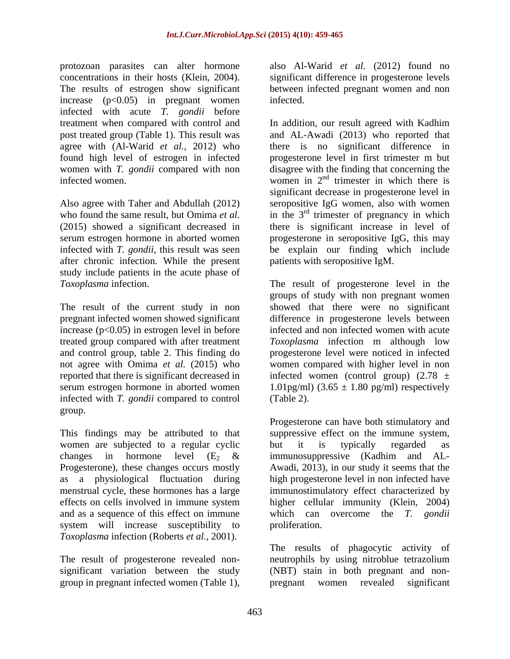protozoan parasites can alter hormone also Al-Warid *et al.* (2012) found no concentrations in their hosts (Klein, 2004). Significant difference in progesterone levels<br>The results of estrogen show significant between infected pregnant women and non increase  $(p<0.05)$  in pregnant women infected. infected with acute *T. gondii* before

after chronic infection. While the present study include patients in the acute phase of

treated group compared with after treatment and control group, table 2. This finding do infected with *T. gondii* compared to control group.

women are subjected to a regular cyclic but it is typically regarded as Progesterone), these changes occurs mostly effects on cells involved in immune system system will increase susceptibility to proliferation. *Toxoplasma* infection (Roberts *et al.,* 2001).

significant variation between the study group in pregnant infected women (Table 1),

significant difference in progesterone levels between infected pregnant women and non infected.

treatment when compared with control and In addition, our result agreed with Kadhim post treated group (Table 1). This result was and AL-Awadi (2013) who reported that agree with (Al-Warid *et al.,* 2012) who there is no significant difference in found high level of estrogen in infected progesterone level in first trimester m but women with *T. gondii* compared with non disagree with the finding that concerning the infected women.  $\overline{a}$  is women in  $2^{nd}$  trimester in which there is Also agree with Taher and Abdullah (2012) seropositive IgG women, also with women who found the same result, but Omima *et al.* in the  $3<sup>rd</sup>$  trimester of pregnancy in which (2015) showed a significant decreased in there is significant increase in level of serum estrogen hormone in aborted women progesterone in seropositive IgG, this may infected with *T. gondii*, this result was seen be explain our finding which include significant decrease in progesterone level in patients with seropositive IgM.

*Toxoplasma* infection. The result of progesterone level in the The result of the current study in non showed that there were no significant pregnant infected women showed significant difference in progesterone levels between increase (p<0.05) in estrogen level in before infected and non infected women with acute not agree with Omima *et al.* (2015) who women compared with higher level in non reported that there is significant decreased in infected women (control group)  $(2.78 \pm$ serum estrogen hormone in aborted women 1.01pg/ml) (3.65 ± 1.80 pg/ml) respectively groups of study with non pregnant women *Toxoplasma* infection m although low progesterone level were noticed in infected (Table 2).

This findings may be attributed to that suppressive effect on the immune system, changes in hormone level  $(E_2 \&$  immunosuppressive (Kadhim and ALas a physiological fluctuation during high progesterone level in non infected have menstrual cycle, these hormones has a large immunostimulatory effect characterized by and as a sequence of this effect on immune which can overcome the *T. gondii* Progesterone can have both stimulatory and but it is typically regarded as Awadi, 2013), in our study it seems that the higher cellular immunity (Klein, 2004) proliferation.

The result of progesterone revealed non- neutrophils by using nitroblue tetrazolium The results of phagocytic activity of (NBT) stain in both pregnant and non pregnant women revealed significant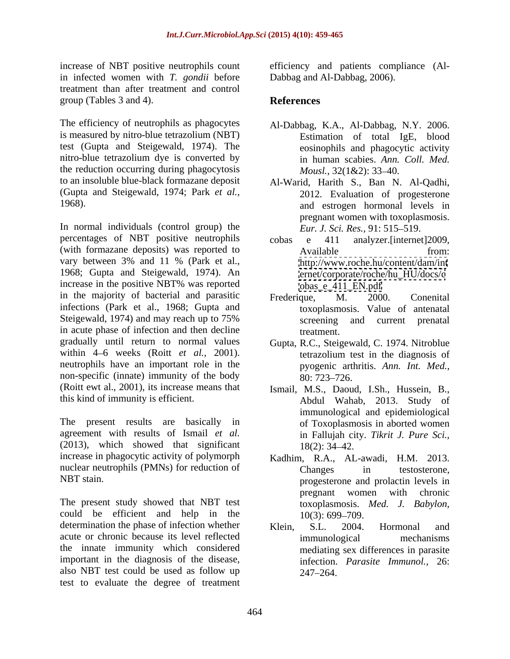increase of NBT positive neutrophils count in infected women with *T. gondii* before treatment than after treatment and control group (Tables 3 and 4). **References** 

The efficiency of neutrophils as phagocytes is measured by nitro-blue tetrazolium (NBT) test (Gupta and Steigewald, 1974). The nitro-blue tetrazolium dye is converted by the reduction occurring during phagocytosis  $Mousl, 32(1&2); 33-40.$ to an insoluble blue-black formazane deposit Al-Warid, Harith S., Ban N. Al-Qadhi, (Gupta and Steigewald, 1974; Park *et al.,*

In normal individuals (control group) the percentages of NBT positive neutrophils cobas e 411 analyzer.[internet]2009, (with formazane deposits) was reported to vary between 3% and 11 % (Park et al., 1968; Gupta and Steigewald, 1974). An increase in the positive NBT% was reported in the majority of bacterial and parasitic Frederique, M. 2000. Conenital infections (Park et al., 1968; Gupta and Steigewald, 1974) and may reach up to 75% screening and current prenatal in acute phase of infection and then decline treatment. gradually until return to normal values Gupta, R.C., Steigewald, C. 1974. Nitroblue within 4–6 weeks (Roitt *et al.*, 2001). the example that in the diagnosis of neutrophils have an important role in the non-specific (innate) immunity of the body  $\frac{1}{80}$ : 723–726. (Roitt ewt al., 2001), its increase means that

The present results are basically in agreement with results of Ismail *et al.* (2013), which showed that significant  $18(2)$ :  $34-42$ . increase in phagocytic activity of polymorph Kadhim, R.A., AL-awadi, H.M. 2013. nuclear neutrophils (PMNs) for reduction of Changes in testosterone,

The present study showed that NBT test could be efficient and help in the  $10(3)$ : 699–709. determination the phase of infection whether Klein, S.L. 2004. Hormonal and acute or chronic because its level reflected the innate immunity which considered important in the diagnosis of the disease, also NBT test could be used as follow up test to evaluate the degree of treatment

efficiency and patients compliance (Al- Dabbag and Al-Dabbag, 2006).

## **References**

- Al-Dabbag, K.A., Al-Dabbag, N.Y. 2006. Estimation of total IgE, blood eosinophils and phagocytic activity in human scabies. *Ann. Coll. Med. Mousl.,*  $32(1&2)$ :  $33-40$ .
- 1968). and estrogen hormonal levels in 2012. Evaluation of progesterone pregnant women with toxoplasmosis. *Eur. J. Sci. Res., 91: 515–519.* 
	- cobas e 411 analyzer.[internet]2009, Available from: <http://www.roche.hu/content/dam/int> [ernet/corporate/roche/hu\\_HU/docs/c](ernet/corporate/roche/hu_HU/docs/c) [obas\\_e\\_411\\_EN.pdf](obas_e_411_EN.pdf)
	- Frederique, M. 2000. Conenital toxoplasmosis. Value of antenatal screening and current prenatal treatment.
	- tetrazolium test in the diagnosis of pyogenic arthritis. *Ann. Int. Med.,* 80: 723–726.
- this kind of immunity is efficient. Abdul Wahab, 2013. Study of Ismail, M.S., Daoud, I.Sh., Hussein, B., immunological and epidemiological of Toxoplasmosis in aborted women in Fallujah city. *Tikrit J. Pure Sci.,* 18(2): 34–42.
- NBT stain. progesterone and prolactin levels in Changes in testosterone, pregnant women with chronic toxoplasmosis. *Med. J. Babylon,*  $10(3)$ : 699–709.
	- Klein, S.L. 2004. Hormonal and immunological mechanisms mediating sex differences in parasite infection. *Parasite Immunol.,* 26: 247 264.